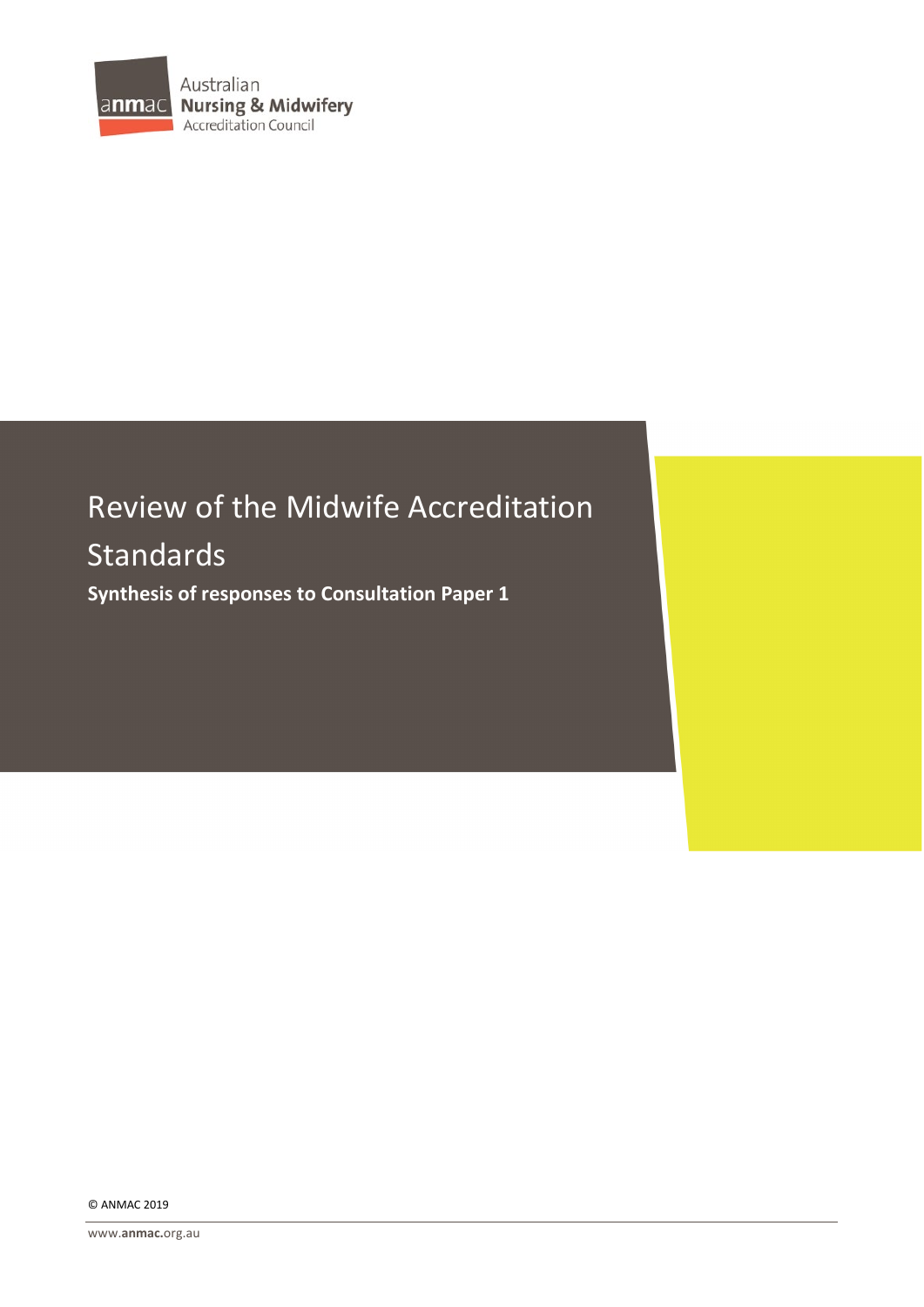

# Review of the Midwife Accreditation Standards **Synthesis of responses to Consultation Paper 1**

© ANMAC 2019

www.**[anmac.](http://www.anmac.org.au/)**org.au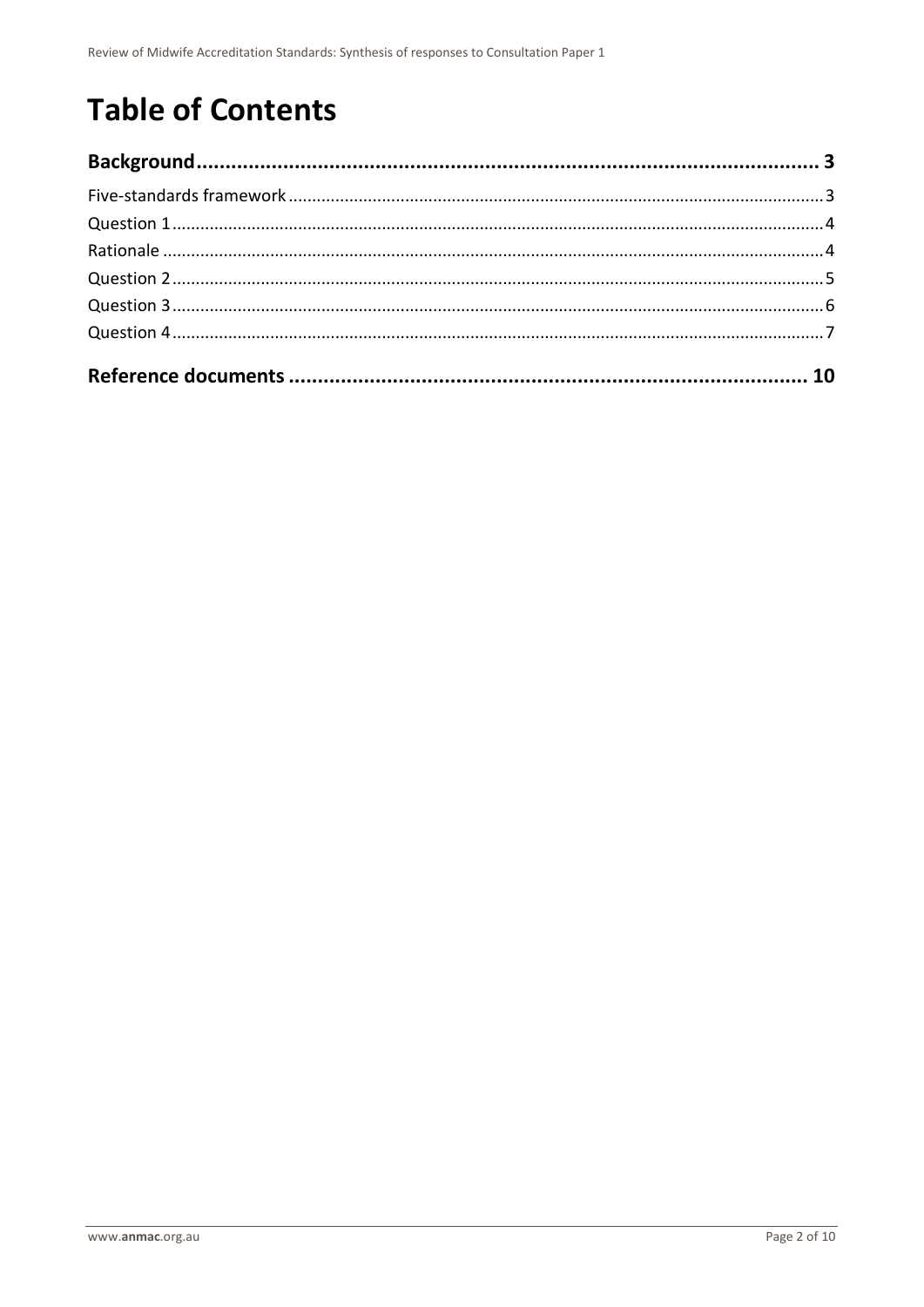# **Table of Contents**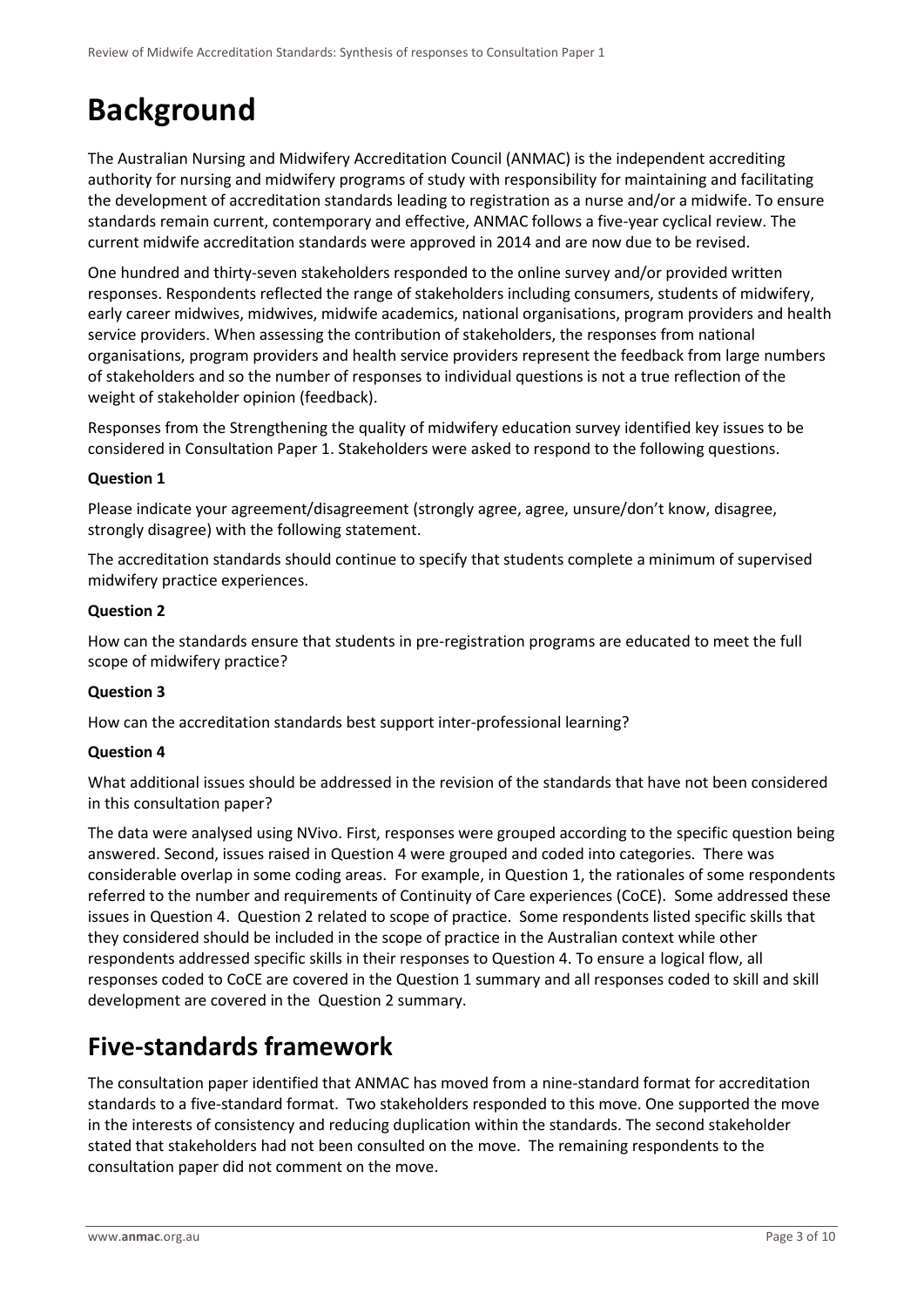# <span id="page-2-0"></span>**Background**

The Australian Nursing and Midwifery Accreditation Council (ANMAC) is the independent accrediting authority for nursing and midwifery programs of study with responsibility for maintaining and facilitating the development of accreditation standards leading to registration as a nurse and/or a midwife. To ensure standards remain current, contemporary and effective, ANMAC follows a five-year cyclical review. The current midwife accreditation standards were approved in 2014 and are now due to be revised.

One hundred and thirty-seven stakeholders responded to the online survey and/or provided written responses. Respondents reflected the range of stakeholders including consumers, students of midwifery, early career midwives, midwives, midwife academics, national organisations, program providers and health service providers. When assessing the contribution of stakeholders, the responses from national organisations, program providers and health service providers represent the feedback from large numbers of stakeholders and so the number of responses to individual questions is not a true reflection of the weight of stakeholder opinion (feedback).

Responses from the Strengthening the quality of midwifery education survey identified key issues to be considered in Consultation Paper 1. Stakeholders were asked to respond to the following questions.

### **Question 1**

Please indicate your agreement/disagreement (strongly agree, agree, unsure/don't know, disagree, strongly disagree) with the following statement.

The accreditation standards should continue to specify that students complete a minimum of supervised midwifery practice experiences.

### **Question 2**

How can the standards ensure that students in pre-registration programs are educated to meet the full scope of midwifery practice?

### **Question 3**

How can the accreditation standards best support inter-professional learning?

### **Question 4**

What additional issues should be addressed in the revision of the standards that have not been considered in this consultation paper?

The data were analysed using NVivo. First, responses were grouped according to the specific question being answered. Second, issues raised in Question 4 were grouped and coded into categories. There was considerable overlap in some coding areas. For example, in Question 1, the rationales of some respondents referred to the number and requirements of Continuity of Care experiences (CoCE). Some addressed these issues in Question 4. Question 2 related to scope of practice. Some respondents listed specific skills that they considered should be included in the scope of practice in the Australian context while other respondents addressed specific skills in their responses to Question 4. To ensure a logical flow, all responses coded to CoCE are covered in the Question 1 summary and all responses coded to skill and skill development are covered in the Question 2 summary.

### <span id="page-2-1"></span>**Five-standards framework**

The consultation paper identified that ANMAC has moved from a nine-standard format for accreditation standards to a five-standard format. Two stakeholders responded to this move. One supported the move in the interests of consistency and reducing duplication within the standards. The second stakeholder stated that stakeholders had not been consulted on the move. The remaining respondents to the consultation paper did not comment on the move.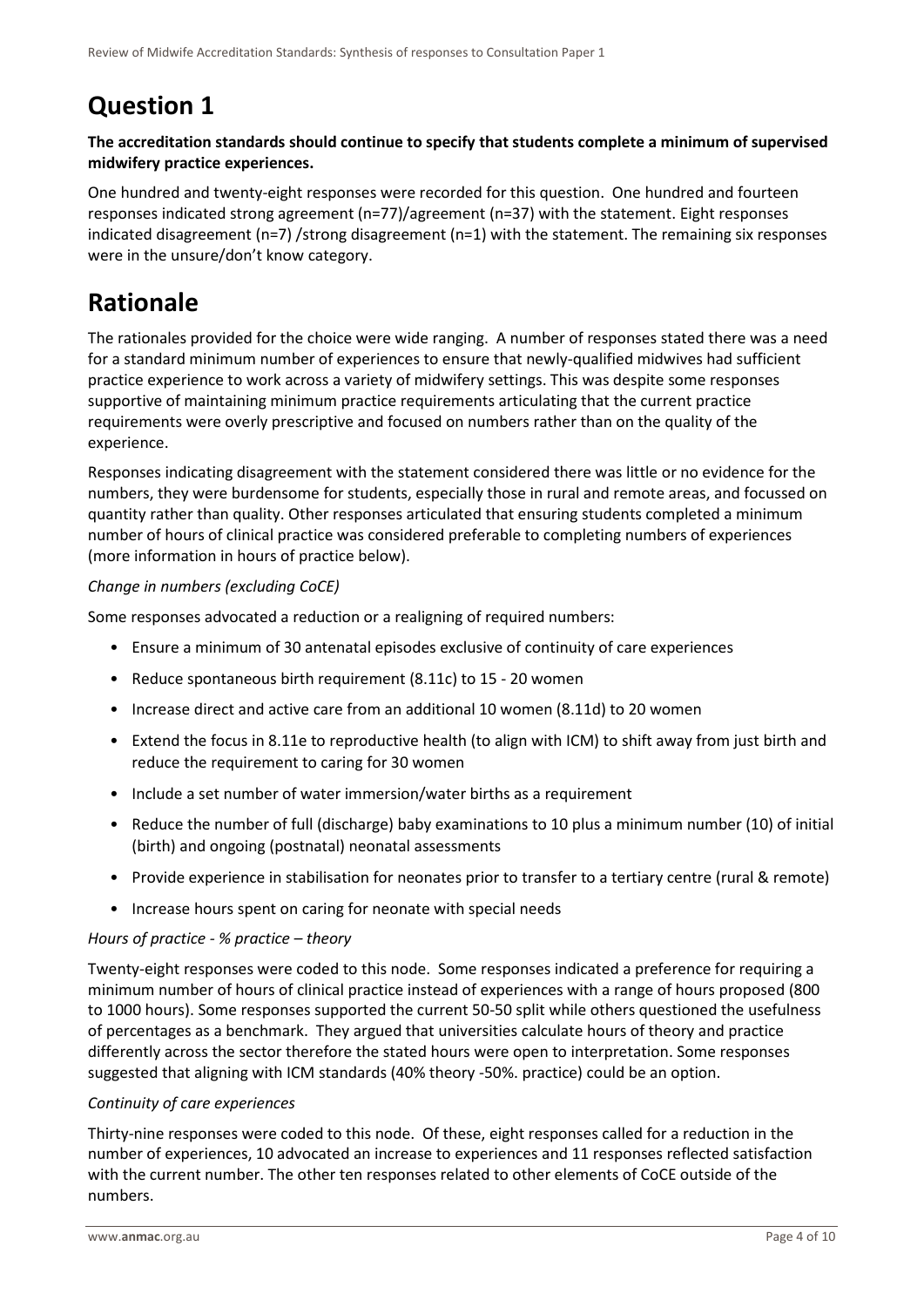## <span id="page-3-0"></span>**Question 1**

### **The accreditation standards should continue to specify that students complete a minimum of supervised midwifery practice experiences.**

One hundred and twenty-eight responses were recorded for this question. One hundred and fourteen responses indicated strong agreement (n=77)/agreement (n=37) with the statement. Eight responses indicated disagreement (n=7) /strong disagreement (n=1) with the statement. The remaining six responses were in the unsure/don't know category.

## <span id="page-3-1"></span>**Rationale**

The rationales provided for the choice were wide ranging. A number of responses stated there was a need for a standard minimum number of experiences to ensure that newly-qualified midwives had sufficient practice experience to work across a variety of midwifery settings. This was despite some responses supportive of maintaining minimum practice requirements articulating that the current practice requirements were overly prescriptive and focused on numbers rather than on the quality of the experience.

Responses indicating disagreement with the statement considered there was little or no evidence for the numbers, they were burdensome for students, especially those in rural and remote areas, and focussed on quantity rather than quality. Other responses articulated that ensuring students completed a minimum number of hours of clinical practice was considered preferable to completing numbers of experiences (more information in hours of practice below).

### *Change in numbers (excluding CoCE)*

Some responses advocated a reduction or a realigning of required numbers:

- Ensure a minimum of 30 antenatal episodes exclusive of continuity of care experiences
- Reduce spontaneous birth requirement (8.11c) to 15 20 women
- Increase direct and active care from an additional 10 women (8.11d) to 20 women
- Extend the focus in 8.11e to reproductive health (to align with ICM) to shift away from just birth and reduce the requirement to caring for 30 women
- Include a set number of water immersion/water births as a requirement
- Reduce the number of full (discharge) baby examinations to 10 plus a minimum number (10) of initial (birth) and ongoing (postnatal) neonatal assessments
- Provide experience in stabilisation for neonates prior to transfer to a tertiary centre (rural & remote)
- Increase hours spent on caring for neonate with special needs

### *Hours of practice - % practice – theory*

Twenty-eight responses were coded to this node. Some responses indicated a preference for requiring a minimum number of hours of clinical practice instead of experiences with a range of hours proposed (800 to 1000 hours). Some responses supported the current 50-50 split while others questioned the usefulness of percentages as a benchmark. They argued that universities calculate hours of theory and practice differently across the sector therefore the stated hours were open to interpretation. Some responses suggested that aligning with ICM standards (40% theory -50%. practice) could be an option.

### *Continuity of care experiences*

Thirty-nine responses were coded to this node. Of these, eight responses called for a reduction in the number of experiences, 10 advocated an increase to experiences and 11 responses reflected satisfaction with the current number. The other ten responses related to other elements of CoCE outside of the numbers.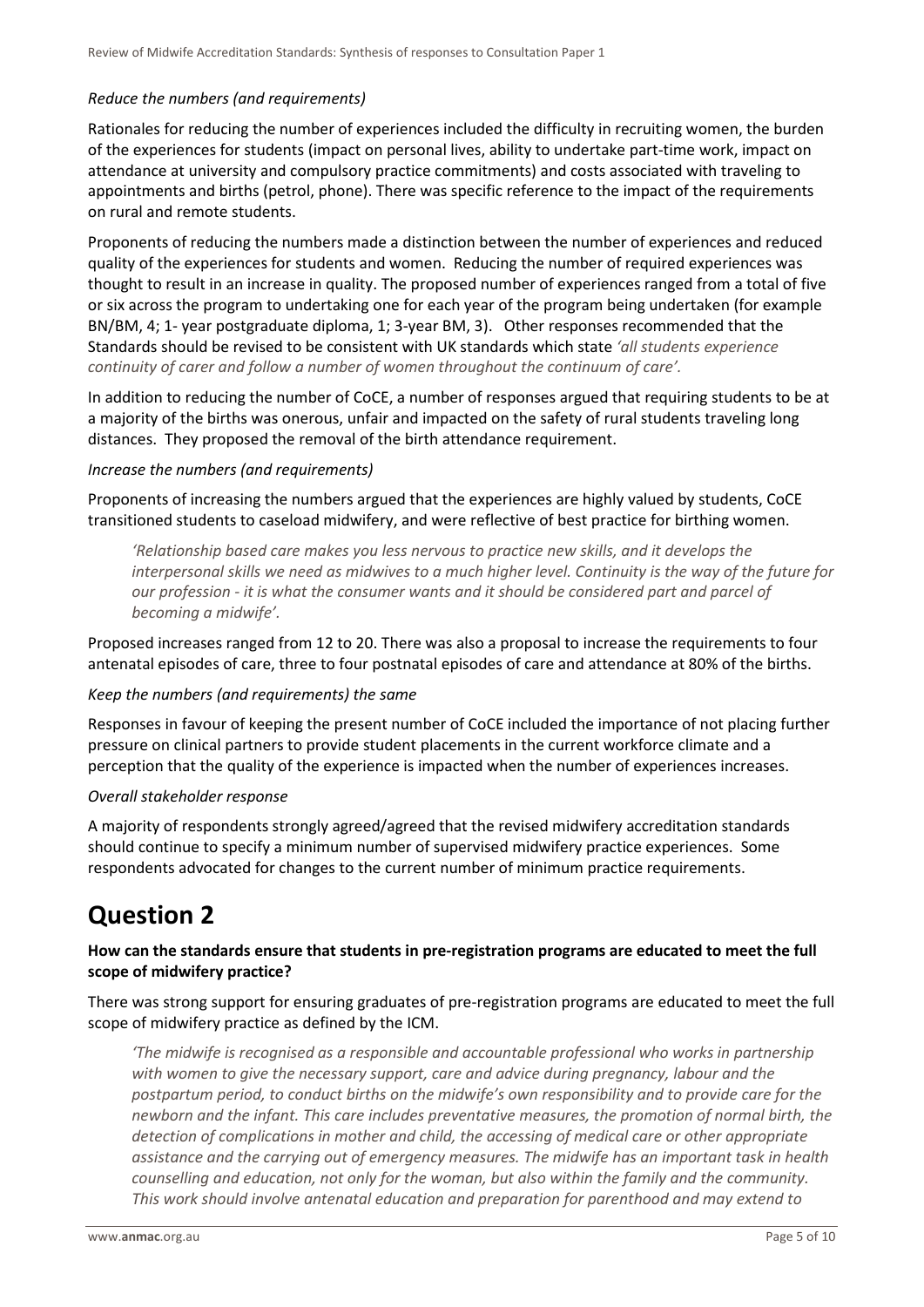### *Reduce the numbers (and requirements)*

Rationales for reducing the number of experiences included the difficulty in recruiting women, the burden of the experiences for students (impact on personal lives, ability to undertake part-time work, impact on attendance at university and compulsory practice commitments) and costs associated with traveling to appointments and births (petrol, phone). There was specific reference to the impact of the requirements on rural and remote students.

Proponents of reducing the numbers made a distinction between the number of experiences and reduced quality of the experiences for students and women. Reducing the number of required experiences was thought to result in an increase in quality. The proposed number of experiences ranged from a total of five or six across the program to undertaking one for each year of the program being undertaken (for example BN/BM, 4; 1- year postgraduate diploma, 1; 3-year BM, 3). Other responses recommended that the Standards should be revised to be consistent with UK standards which state *'all students experience continuity of carer and follow a number of women throughout the continuum of care'.*

In addition to reducing the number of CoCE, a number of responses argued that requiring students to be at a majority of the births was onerous, unfair and impacted on the safety of rural students traveling long distances. They proposed the removal of the birth attendance requirement.

### *Increase the numbers (and requirements)*

Proponents of increasing the numbers argued that the experiences are highly valued by students, CoCE transitioned students to caseload midwifery, and were reflective of best practice for birthing women.

*'Relationship based care makes you less nervous to practice new skills, and it develops the interpersonal skills we need as midwives to a much higher level. Continuity is the way of the future for our profession - it is what the consumer wants and it should be considered part and parcel of becoming a midwife'.*

Proposed increases ranged from 12 to 20. There was also a proposal to increase the requirements to four antenatal episodes of care, three to four postnatal episodes of care and attendance at 80% of the births.

### *Keep the numbers (and requirements) the same*

Responses in favour of keeping the present number of CoCE included the importance of not placing further pressure on clinical partners to provide student placements in the current workforce climate and a perception that the quality of the experience is impacted when the number of experiences increases.

### *Overall stakeholder response*

A majority of respondents strongly agreed/agreed that the revised midwifery accreditation standards should continue to specify a minimum number of supervised midwifery practice experiences. Some respondents advocated for changes to the current number of minimum practice requirements.

### <span id="page-4-0"></span>**Question 2**

### **How can the standards ensure that students in pre-registration programs are educated to meet the full scope of midwifery practice?**

There was strong support for ensuring graduates of pre-registration programs are educated to meet the full scope of midwifery practice as defined by the ICM.

*'The midwife is recognised as a responsible and accountable professional who works in partnership with women to give the necessary support, care and advice during pregnancy, labour and the postpartum period, to conduct births on the midwife's own responsibility and to provide care for the newborn and the infant. This care includes preventative measures, the promotion of normal birth, the detection of complications in mother and child, the accessing of medical care or other appropriate assistance and the carrying out of emergency measures. The midwife has an important task in health counselling and education, not only for the woman, but also within the family and the community. This work should involve antenatal education and preparation for parenthood and may extend to*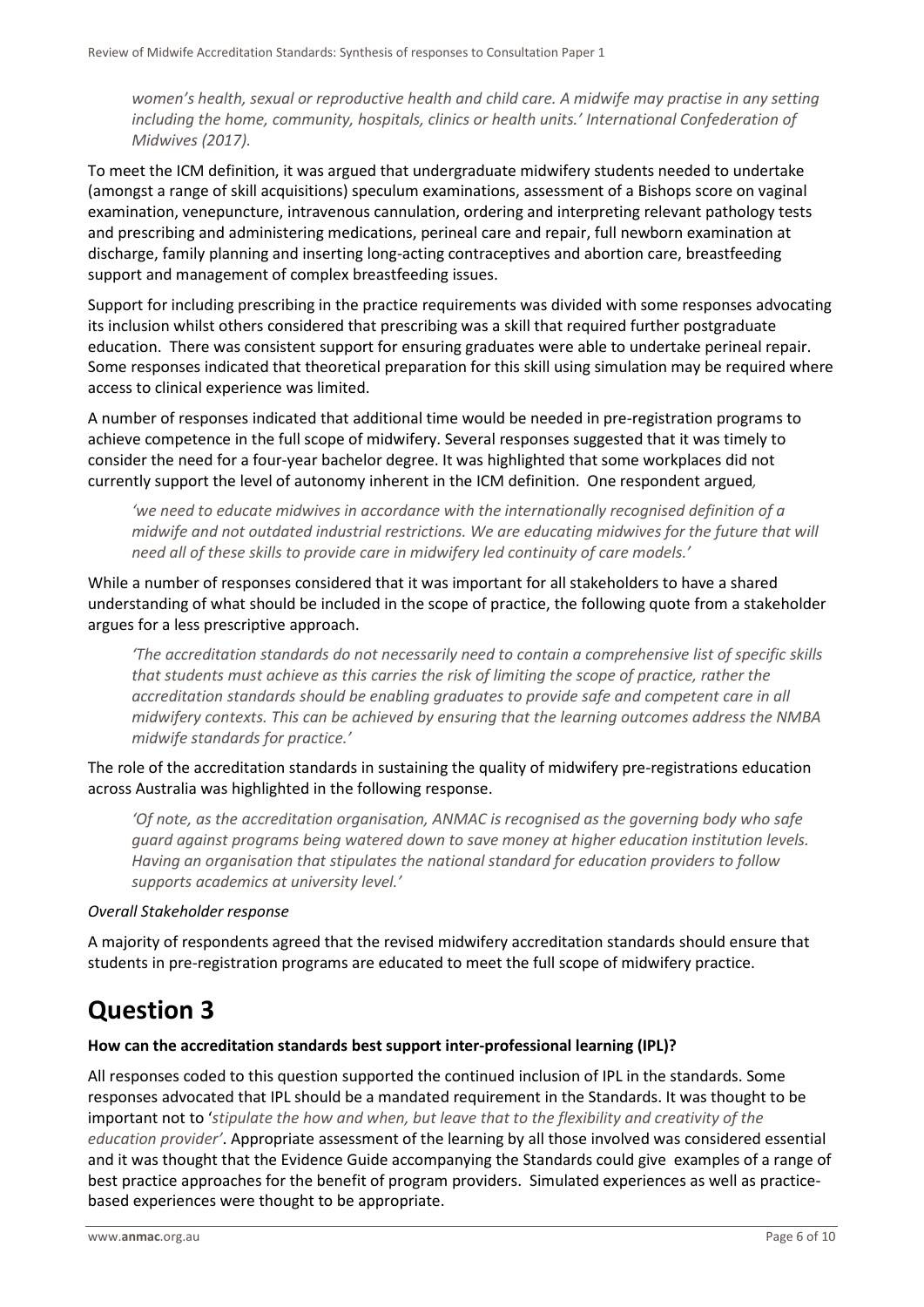*women's health, sexual or reproductive health and child care. A midwife may practise in any setting including the home, community, hospitals, clinics or health units.' International Confederation of Midwives (2017).* 

To meet the ICM definition, it was argued that undergraduate midwifery students needed to undertake (amongst a range of skill acquisitions) speculum examinations, assessment of a Bishops score on vaginal examination, venepuncture, intravenous cannulation, ordering and interpreting relevant pathology tests and prescribing and administering medications, perineal care and repair, full newborn examination at discharge, family planning and inserting long-acting contraceptives and abortion care, breastfeeding support and management of complex breastfeeding issues.

Support for including prescribing in the practice requirements was divided with some responses advocating its inclusion whilst others considered that prescribing was a skill that required further postgraduate education. There was consistent support for ensuring graduates were able to undertake perineal repair. Some responses indicated that theoretical preparation for this skill using simulation may be required where access to clinical experience was limited.

A number of responses indicated that additional time would be needed in pre-registration programs to achieve competence in the full scope of midwifery. Several responses suggested that it was timely to consider the need for a four-year bachelor degree. It was highlighted that some workplaces did not currently support the level of autonomy inherent in the ICM definition. One respondent argued*,* 

*'we need to educate midwives in accordance with the internationally recognised definition of a midwife and not outdated industrial restrictions. We are educating midwives for the future that will need all of these skills to provide care in midwifery led continuity of care models.'*

While a number of responses considered that it was important for all stakeholders to have a shared understanding of what should be included in the scope of practice, the following quote from a stakeholder argues for a less prescriptive approach.

*'The accreditation standards do not necessarily need to contain a comprehensive list of specific skills that students must achieve as this carries the risk of limiting the scope of practice, rather the accreditation standards should be enabling graduates to provide safe and competent care in all midwifery contexts. This can be achieved by ensuring that the learning outcomes address the NMBA midwife standards for practice.'*

The role of the accreditation standards in sustaining the quality of midwifery pre-registrations education across Australia was highlighted in the following response.

*'Of note, as the accreditation organisation, ANMAC is recognised as the governing body who safe guard against programs being watered down to save money at higher education institution levels. Having an organisation that stipulates the national standard for education providers to follow supports academics at university level.'*

#### *Overall Stakeholder response*

A majority of respondents agreed that the revised midwifery accreditation standards should ensure that students in pre-registration programs are educated to meet the full scope of midwifery practice.

### <span id="page-5-0"></span>**Question 3**

### **How can the accreditation standards best support inter-professional learning (IPL)?**

All responses coded to this question supported the continued inclusion of IPL in the standards. Some responses advocated that IPL should be a mandated requirement in the Standards. It was thought to be important not to '*stipulate the how and when, but leave that to the flexibility and creativity of the education provider'*. Appropriate assessment of the learning by all those involved was considered essential and it was thought that the Evidence Guide accompanying the Standards could give examples of a range of best practice approaches for the benefit of program providers. Simulated experiences as well as practicebased experiences were thought to be appropriate.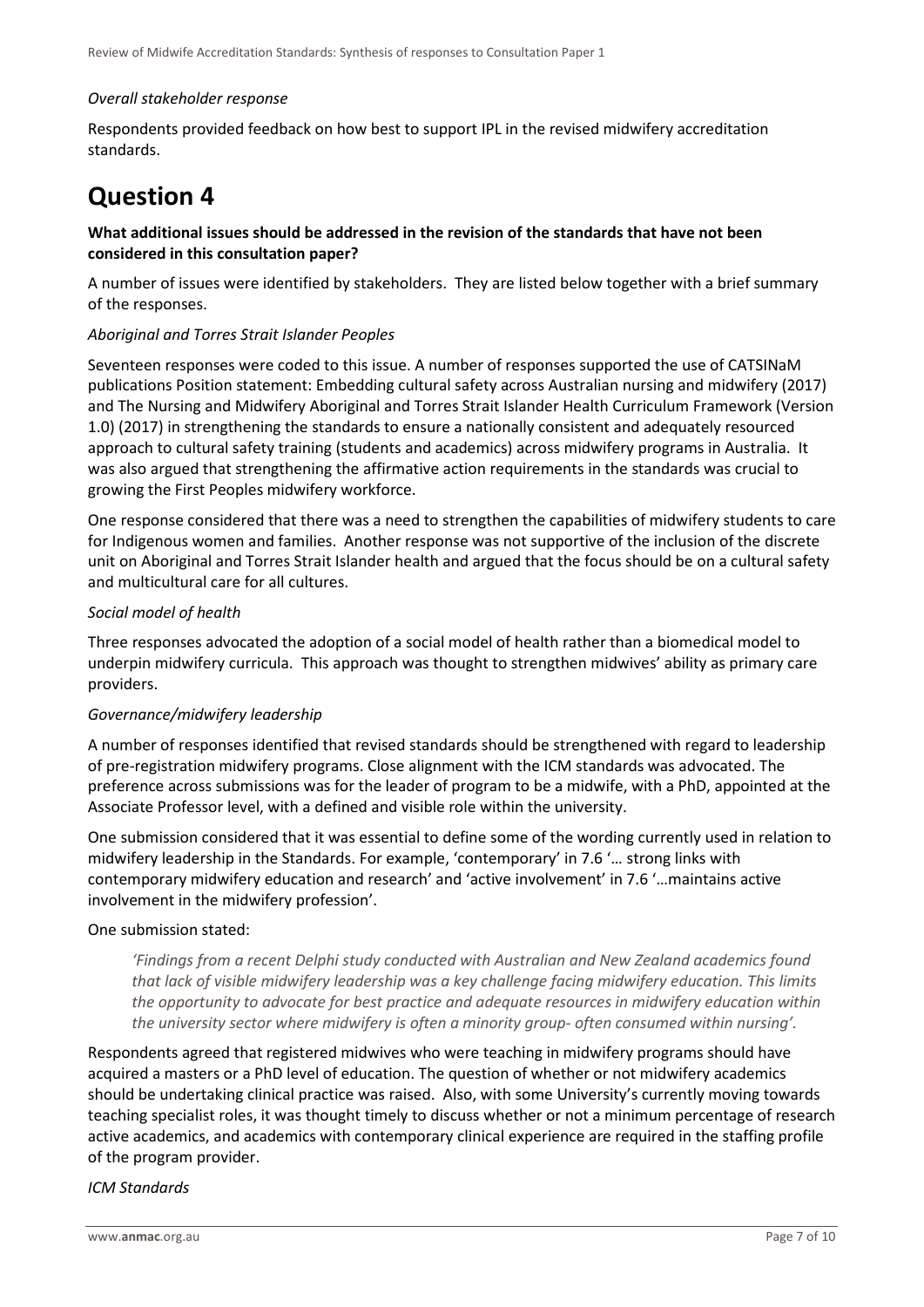### *Overall stakeholder response*

Respondents provided feedback on how best to support IPL in the revised midwifery accreditation standards.

## <span id="page-6-0"></span>**Question 4**

### **What additional issues should be addressed in the revision of the standards that have not been considered in this consultation paper?**

A number of issues were identified by stakeholders. They are listed below together with a brief summary of the responses.

### *Aboriginal and Torres Strait Islander Peoples*

Seventeen responses were coded to this issue. A number of responses supported the use of CATSINaM publications Position statement: Embedding cultural safety across Australian nursing and midwifery (2017) and The Nursing and Midwifery Aboriginal and Torres Strait Islander Health Curriculum Framework (Version 1.0) (2017) in strengthening the standards to ensure a nationally consistent and adequately resourced approach to cultural safety training (students and academics) across midwifery programs in Australia. It was also argued that strengthening the affirmative action requirements in the standards was crucial to growing the First Peoples midwifery workforce.

One response considered that there was a need to strengthen the capabilities of midwifery students to care for Indigenous women and families. Another response was not supportive of the inclusion of the discrete unit on Aboriginal and Torres Strait Islander health and argued that the focus should be on a cultural safety and multicultural care for all cultures.

### *Social model of health*

Three responses advocated the adoption of a social model of health rather than a biomedical model to underpin midwifery curricula. This approach was thought to strengthen midwives' ability as primary care providers.

### *Governance/midwifery leadership*

A number of responses identified that revised standards should be strengthened with regard to leadership of pre-registration midwifery programs. Close alignment with the ICM standards was advocated. The preference across submissions was for the leader of program to be a midwife, with a PhD, appointed at the Associate Professor level, with a defined and visible role within the university.

One submission considered that it was essential to define some of the wording currently used in relation to midwifery leadership in the Standards. For example, 'contemporary' in 7.6 '… strong links with contemporary midwifery education and research' and 'active involvement' in 7.6 '…maintains active involvement in the midwifery profession'.

### One submission stated:

*'Findings from a recent Delphi study conducted with Australian and New Zealand academics found that lack of visible midwifery leadership was a key challenge facing midwifery education. This limits the opportunity to advocate for best practice and adequate resources in midwifery education within the university sector where midwifery is often a minority group- often consumed within nursing'.* 

Respondents agreed that registered midwives who were teaching in midwifery programs should have acquired a masters or a PhD level of education. The question of whether or not midwifery academics should be undertaking clinical practice was raised. Also, with some University's currently moving towards teaching specialist roles, it was thought timely to discuss whether or not a minimum percentage of research active academics, and academics with contemporary clinical experience are required in the staffing profile of the program provider.

### *ICM Standards*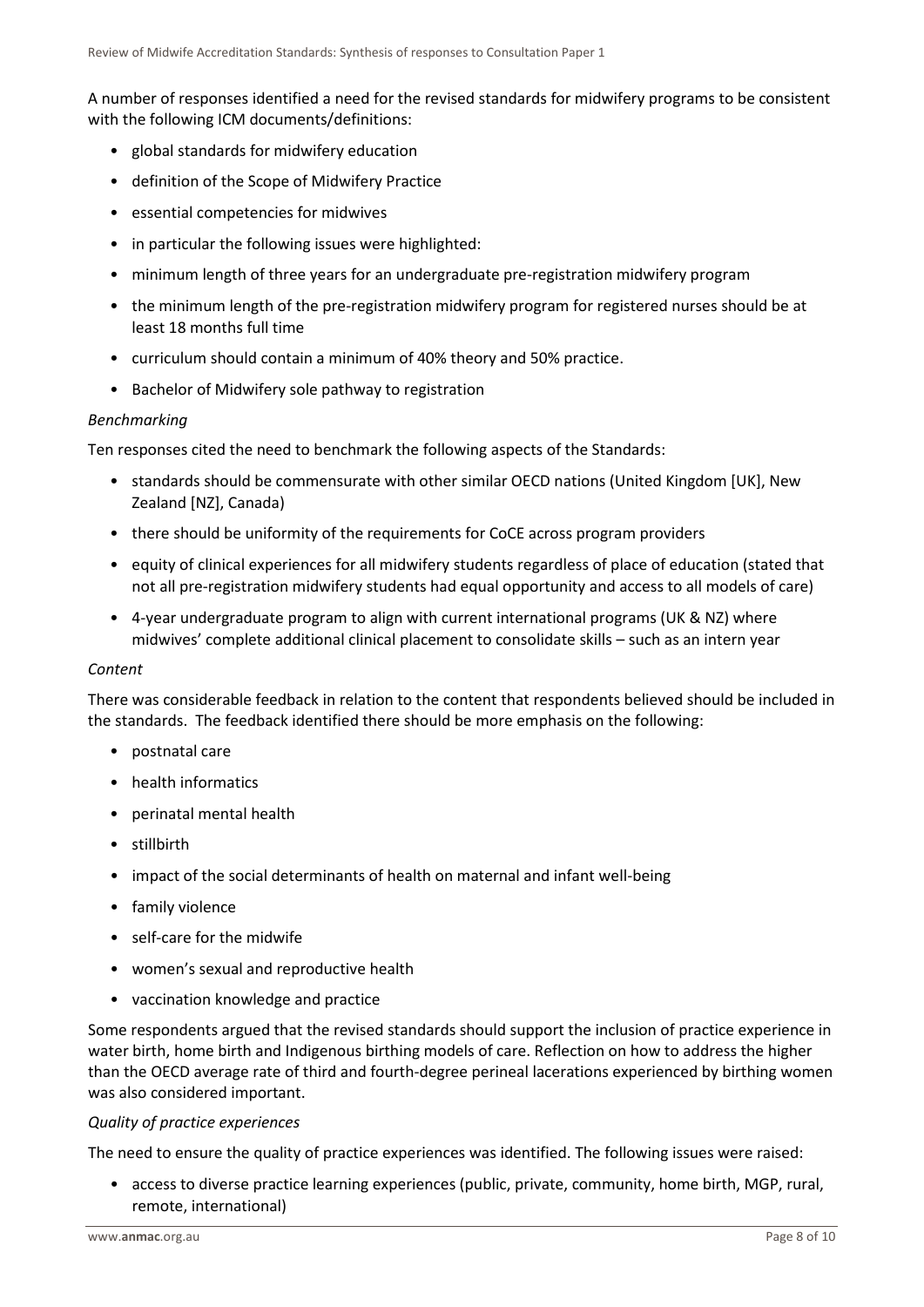A number of responses identified a need for the revised standards for midwifery programs to be consistent with the following ICM documents/definitions:

- global standards for midwifery education
- definition of the Scope of Midwifery Practice
- essential competencies for midwives
- in particular the following issues were highlighted:
- minimum length of three years for an undergraduate pre-registration midwifery program
- the minimum length of the pre-registration midwifery program for registered nurses should be at least 18 months full time
- curriculum should contain a minimum of 40% theory and 50% practice.
- Bachelor of Midwifery sole pathway to registration

### *Benchmarking*

Ten responses cited the need to benchmark the following aspects of the Standards:

- standards should be commensurate with other similar OECD nations (United Kingdom [UK], New Zealand [NZ], Canada)
- there should be uniformity of the requirements for CoCE across program providers
- equity of clinical experiences for all midwifery students regardless of place of education (stated that not all pre-registration midwifery students had equal opportunity and access to all models of care)
- 4-year undergraduate program to align with current international programs (UK & NZ) where midwives' complete additional clinical placement to consolidate skills – such as an intern year

#### *Content*

There was considerable feedback in relation to the content that respondents believed should be included in the standards. The feedback identified there should be more emphasis on the following:

- postnatal care
- health informatics
- perinatal mental health
- stillbirth
- impact of the social determinants of health on maternal and infant well-being
- family violence
- self-care for the midwife
- women's sexual and reproductive health
- vaccination knowledge and practice

Some respondents argued that the revised standards should support the inclusion of practice experience in water birth, home birth and Indigenous birthing models of care. Reflection on how to address the higher than the OECD average rate of third and fourth-degree perineal lacerations experienced by birthing women was also considered important.

### *Quality of practice experiences*

The need to ensure the quality of practice experiences was identified. The following issues were raised:

• access to diverse practice learning experiences (public, private, community, home birth, MGP, rural, remote, international)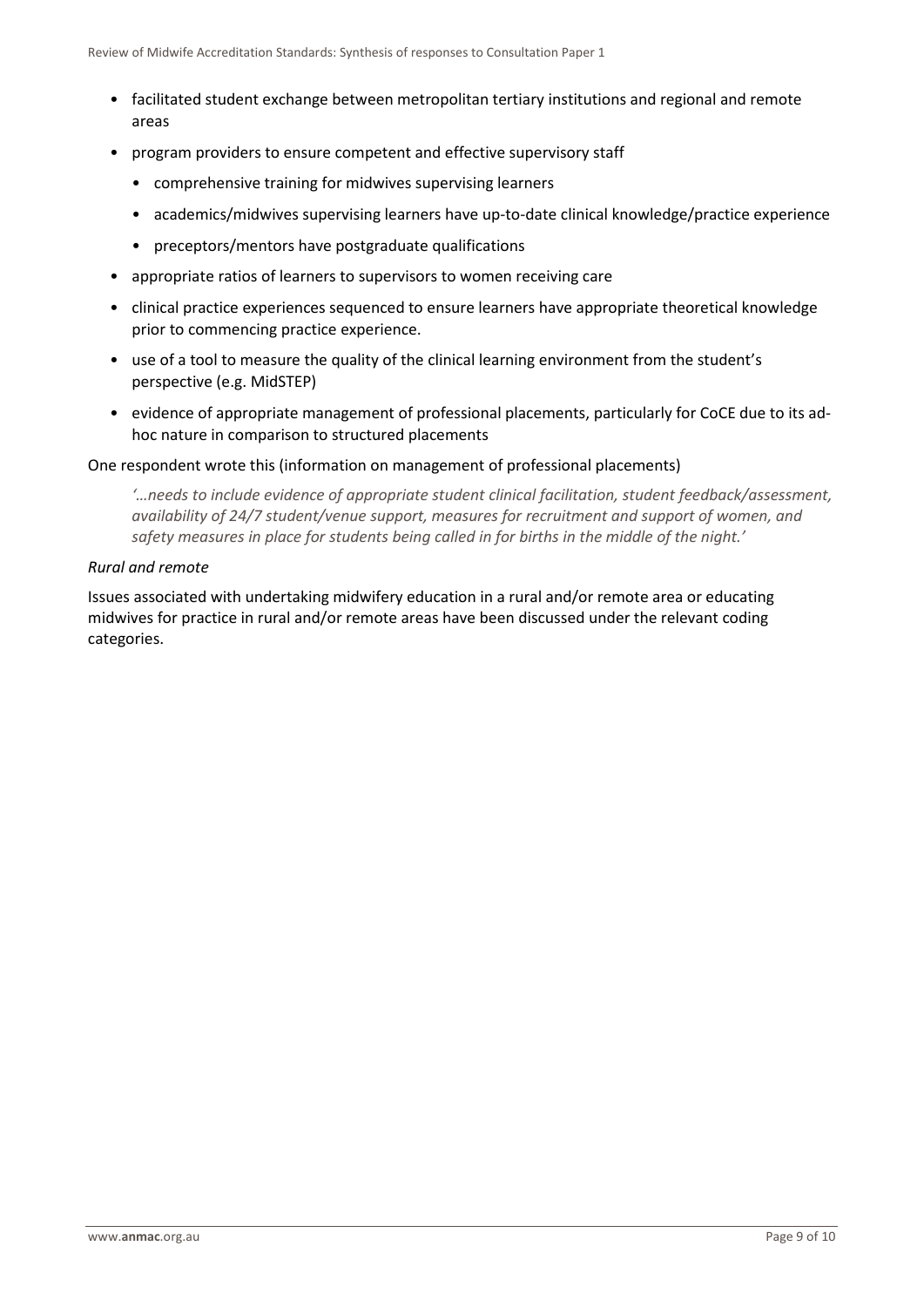- facilitated student exchange between metropolitan tertiary institutions and regional and remote areas
- program providers to ensure competent and effective supervisory staff
	- comprehensive training for midwives supervising learners
	- academics/midwives supervising learners have up-to-date clinical knowledge/practice experience
	- preceptors/mentors have postgraduate qualifications
- appropriate ratios of learners to supervisors to women receiving care
- clinical practice experiences sequenced to ensure learners have appropriate theoretical knowledge prior to commencing practice experience.
- use of a tool to measure the quality of the clinical learning environment from the student's perspective (e.g. MidSTEP)
- evidence of appropriate management of professional placements, particularly for CoCE due to its adhoc nature in comparison to structured placements

### One respondent wrote this (information on management of professional placements)

*'…needs to include evidence of appropriate student clinical facilitation, student feedback/assessment, availability of 24/7 student/venue support, measures for recruitment and support of women, and safety measures in place for students being called in for births in the middle of the night.'*

### *Rural and remote*

Issues associated with undertaking midwifery education in a rural and/or remote area or educating midwives for practice in rural and/or remote areas have been discussed under the relevant coding categories.